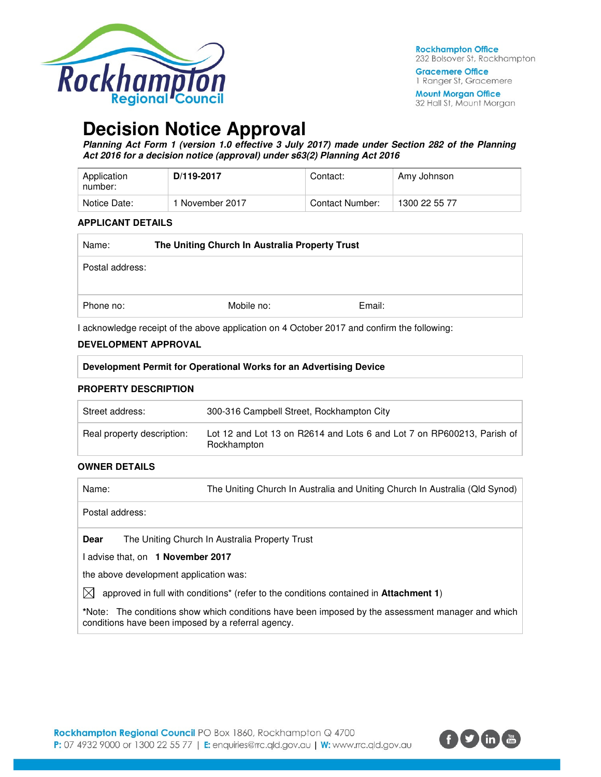

**Gracemere Office** 1 Ranger St, Gracemere

**Mount Morgan Office** 32 Hall St, Mount Morgan

# **Decision Notice Approval**

**Planning Act Form 1 (version 1.0 effective 3 July 2017) made under Section 282 of the Planning Act 2016 for a decision notice (approval) under s63(2) Planning Act 2016** 

| Application<br>number: | D/119-2017      | Contact:        | Amy Johnson   |
|------------------------|-----------------|-----------------|---------------|
| Notice Date:           | 1 November 2017 | Contact Number: | 1300 22 55 77 |

#### **APPLICANT DETAILS**

| Name:           | The Uniting Church In Australia Property Trust |            |        |
|-----------------|------------------------------------------------|------------|--------|
| Postal address: |                                                |            |        |
| Phone no:       |                                                | Mobile no: | Email: |

I acknowledge receipt of the above application on 4 October 2017 and confirm the following:

#### **DEVELOPMENT APPROVAL**

### **PROPERTY DESCRIPTION**

| Street address:            | 300-316 Campbell Street, Rockhampton City                                             |
|----------------------------|---------------------------------------------------------------------------------------|
| Real property description: | Lot 12 and Lot 13 on R2614 and Lots 6 and Lot 7 on RP600213, Parish of<br>Rockhampton |

#### **OWNER DETAILS**

| Name:                                              | The Uniting Church In Australia and Uniting Church In Australia (Qld Synod)                       |
|----------------------------------------------------|---------------------------------------------------------------------------------------------------|
| Postal address:                                    |                                                                                                   |
| Dear                                               | The Uniting Church In Australia Property Trust                                                    |
| I advise that, on 1 November 2017                  |                                                                                                   |
| the above development application was:             |                                                                                                   |
| IХI                                                | approved in full with conditions* (refer to the conditions contained in Attachment 1)             |
| conditions have been imposed by a referral agency. | *Note: The conditions show which conditions have been imposed by the assessment manager and which |

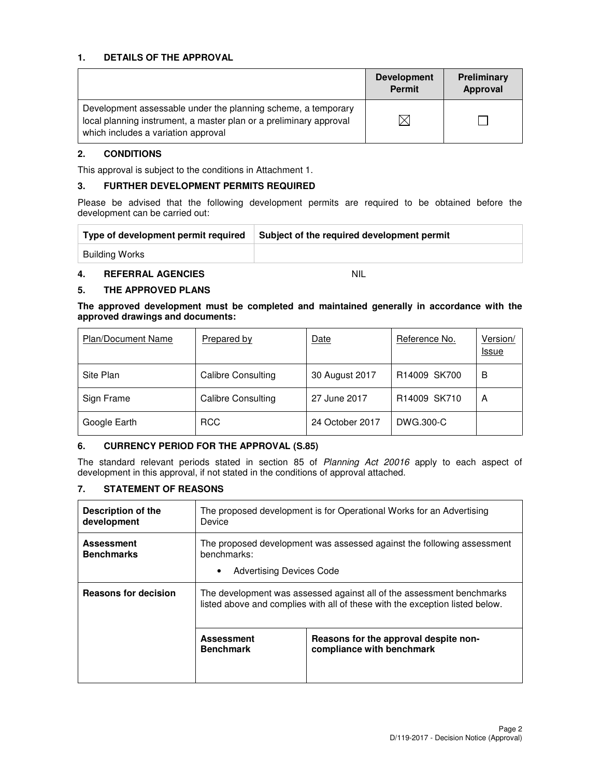### **1. DETAILS OF THE APPROVAL**

|                                                                                                                                                                            | <b>Development</b><br><b>Permit</b> | Preliminary<br>Approval |
|----------------------------------------------------------------------------------------------------------------------------------------------------------------------------|-------------------------------------|-------------------------|
| Development assessable under the planning scheme, a temporary<br>local planning instrument, a master plan or a preliminary approval<br>which includes a variation approval |                                     |                         |

### **2. CONDITIONS**

This approval is subject to the conditions in Attachment 1.

#### **3. FURTHER DEVELOPMENT PERMITS REQUIRED**

Please be advised that the following development permits are required to be obtained before the development can be carried out:

| Type of development permit required | Subject of the required development permit |
|-------------------------------------|--------------------------------------------|
| Building Works                      |                                            |

# **4. REFERRAL AGENCIES** NIL

#### **5. THE APPROVED PLANS**

**The approved development must be completed and maintained generally in accordance with the approved drawings and documents:** 

| <b>Plan/Document Name</b> | Prepared by        | <b>Date</b>     | Reference No. | Version/<br><u>Issue</u> |
|---------------------------|--------------------|-----------------|---------------|--------------------------|
| Site Plan                 | Calibre Consulting | 30 August 2017  | R14009 SK700  | в                        |
| Sign Frame                | Calibre Consulting | 27 June 2017    | R14009 SK710  | A                        |
| Google Earth              | <b>RCC</b>         | 24 October 2017 | DWG.300-C     |                          |

#### **6. CURRENCY PERIOD FOR THE APPROVAL (S.85)**

The standard relevant periods stated in section 85 of Planning Act 20016 apply to each aspect of development in this approval, if not stated in the conditions of approval attached.

# **7. STATEMENT OF REASONS**

| <b>Description of the</b><br>development | The proposed development is for Operational Works for an Advertising<br>Device                                                                        |                                                                    |  |  |
|------------------------------------------|-------------------------------------------------------------------------------------------------------------------------------------------------------|--------------------------------------------------------------------|--|--|
| <b>Assessment</b><br><b>Benchmarks</b>   | The proposed development was assessed against the following assessment<br>benchmarks:<br><b>Advertising Devices Code</b><br>٠                         |                                                                    |  |  |
| <b>Reasons for decision</b>              | The development was assessed against all of the assessment benchmarks<br>listed above and complies with all of these with the exception listed below. |                                                                    |  |  |
|                                          | <b>Assessment</b><br><b>Benchmark</b>                                                                                                                 | Reasons for the approval despite non-<br>compliance with benchmark |  |  |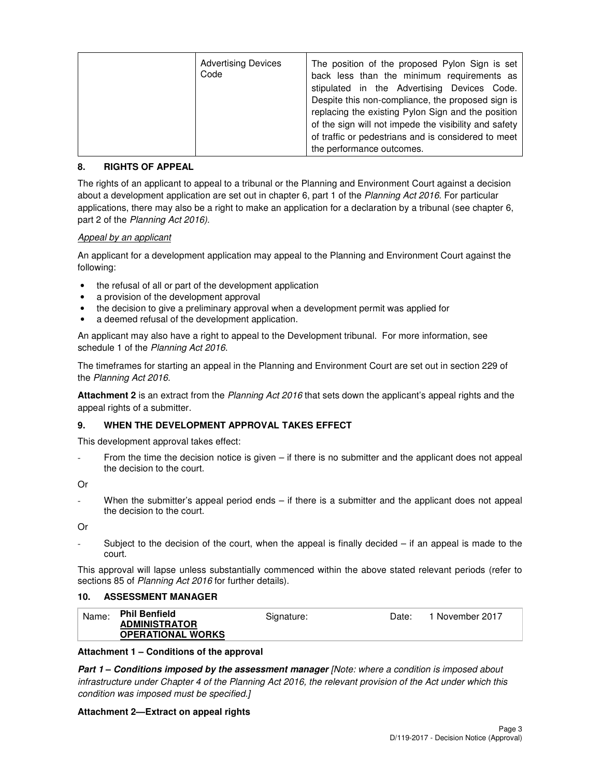| <b>Advertising Devices</b><br>Code | The position of the proposed Pylon Sign is set<br>back less than the minimum requirements as<br>stipulated in the Advertising Devices Code.<br>Despite this non-compliance, the proposed sign is<br>replacing the existing Pylon Sign and the position<br>of the sign will not impede the visibility and safety<br>of traffic or pedestrians and is considered to meet<br>the performance outcomes. |
|------------------------------------|-----------------------------------------------------------------------------------------------------------------------------------------------------------------------------------------------------------------------------------------------------------------------------------------------------------------------------------------------------------------------------------------------------|
|------------------------------------|-----------------------------------------------------------------------------------------------------------------------------------------------------------------------------------------------------------------------------------------------------------------------------------------------------------------------------------------------------------------------------------------------------|

# **8. RIGHTS OF APPEAL**

The rights of an applicant to appeal to a tribunal or the Planning and Environment Court against a decision about a development application are set out in chapter 6, part 1 of the Planning Act 2016. For particular applications, there may also be a right to make an application for a declaration by a tribunal (see chapter 6, part 2 of the Planning Act 2016).

# Appeal by an applicant

An applicant for a development application may appeal to the Planning and Environment Court against the following:

- the refusal of all or part of the development application
- a provision of the development approval
- the decision to give a preliminary approval when a development permit was applied for
- a deemed refusal of the development application.

An applicant may also have a right to appeal to the Development tribunal. For more information, see schedule 1 of the Planning Act 2016.

The timeframes for starting an appeal in the Planning and Environment Court are set out in section 229 of the Planning Act 2016.

**Attachment 2** is an extract from the Planning Act 2016 that sets down the applicant's appeal rights and the appeal rights of a submitter.

#### **9. WHEN THE DEVELOPMENT APPROVAL TAKES EFFECT**

This development approval takes effect:

From the time the decision notice is given  $-$  if there is no submitter and the applicant does not appeal the decision to the court.

Or

When the submitter's appeal period ends  $-$  if there is a submitter and the applicant does not appeal the decision to the court.

Or

Subject to the decision of the court, when the appeal is finally decided  $-$  if an appeal is made to the court.

This approval will lapse unless substantially commenced within the above stated relevant periods (refer to sections 85 of Planning Act 2016 for further details).

#### **10. ASSESSMENT MANAGER**

| Name: | <b>Phil Benfield</b>     | Signature: | Date: | 1 November 2017 |
|-------|--------------------------|------------|-------|-----------------|
|       | <b>ADMINISTRATOR</b>     |            |       |                 |
|       | <b>OPERATIONAL WORKS</b> |            |       |                 |

#### **Attachment 1 – Conditions of the approval**

**Part 1 – Conditions imposed by the assessment manager** [Note: where a condition is imposed about infrastructure under Chapter 4 of the Planning Act 2016, the relevant provision of the Act under which this condition was imposed must be specified.]

#### **Attachment 2—Extract on appeal rights**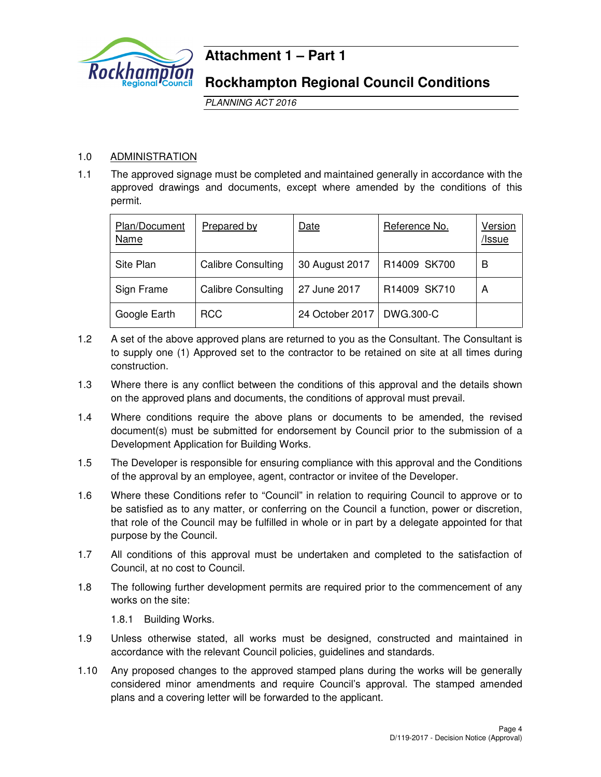

# **Attachment 1 – Part 1**

# **Rockhampton Regional Council Conditions**

PLANNING ACT 2016

# 1.0 ADMINISTRATION

1.1 The approved signage must be completed and maintained generally in accordance with the approved drawings and documents, except where amended by the conditions of this permit.

| Plan/Document<br>Name | Prepared by               | Date                        | Reference No. | Version<br>/Issue |
|-----------------------|---------------------------|-----------------------------|---------------|-------------------|
| Site Plan             | <b>Calibre Consulting</b> | 30 August 2017              | R14009 SK700  | B                 |
| Sign Frame            | <b>Calibre Consulting</b> | 27 June 2017                | R14009 SK710  | A                 |
| Google Earth          | <b>RCC</b>                | 24 October 2017   DWG.300-C |               |                   |

- 1.2 A set of the above approved plans are returned to you as the Consultant. The Consultant is to supply one (1) Approved set to the contractor to be retained on site at all times during construction.
- 1.3 Where there is any conflict between the conditions of this approval and the details shown on the approved plans and documents, the conditions of approval must prevail.
- 1.4 Where conditions require the above plans or documents to be amended, the revised document(s) must be submitted for endorsement by Council prior to the submission of a Development Application for Building Works.
- 1.5 The Developer is responsible for ensuring compliance with this approval and the Conditions of the approval by an employee, agent, contractor or invitee of the Developer.
- 1.6 Where these Conditions refer to "Council" in relation to requiring Council to approve or to be satisfied as to any matter, or conferring on the Council a function, power or discretion, that role of the Council may be fulfilled in whole or in part by a delegate appointed for that purpose by the Council.
- 1.7 All conditions of this approval must be undertaken and completed to the satisfaction of Council, at no cost to Council.
- 1.8 The following further development permits are required prior to the commencement of any works on the site:

1.8.1 Building Works.

- 1.9 Unless otherwise stated, all works must be designed, constructed and maintained in accordance with the relevant Council policies, guidelines and standards.
- 1.10 Any proposed changes to the approved stamped plans during the works will be generally considered minor amendments and require Council's approval. The stamped amended plans and a covering letter will be forwarded to the applicant.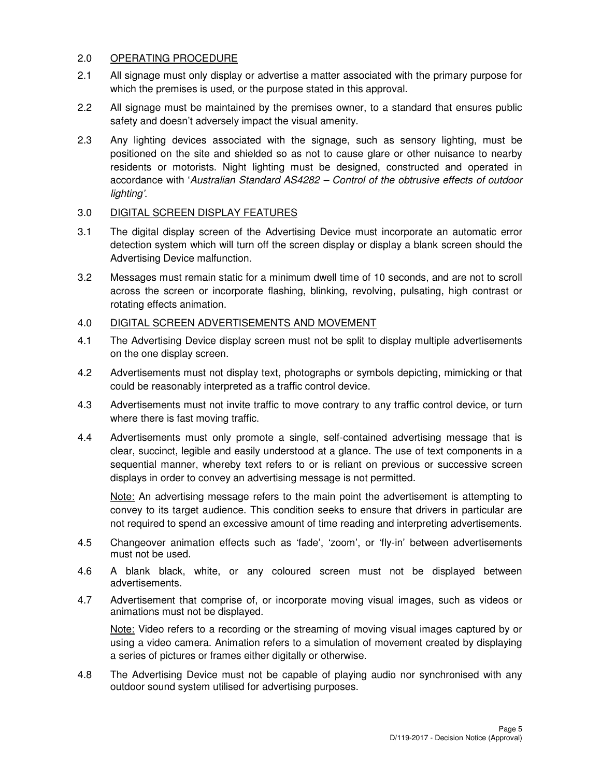# 2.0 OPERATING PROCEDURE

- 2.1 All signage must only display or advertise a matter associated with the primary purpose for which the premises is used, or the purpose stated in this approval.
- 2.2 All signage must be maintained by the premises owner, to a standard that ensures public safety and doesn't adversely impact the visual amenity.
- 2.3 Any lighting devices associated with the signage, such as sensory lighting, must be positioned on the site and shielded so as not to cause glare or other nuisance to nearby residents or motorists. Night lighting must be designed, constructed and operated in accordance with 'Australian Standard AS4282 – Control of the obtrusive effects of outdoor lighting'.

# 3.0 DIGITAL SCREEN DISPLAY FEATURES

- 3.1 The digital display screen of the Advertising Device must incorporate an automatic error detection system which will turn off the screen display or display a blank screen should the Advertising Device malfunction.
- 3.2 Messages must remain static for a minimum dwell time of 10 seconds, and are not to scroll across the screen or incorporate flashing, blinking, revolving, pulsating, high contrast or rotating effects animation.

# 4.0 DIGITAL SCREEN ADVERTISEMENTS AND MOVEMENT

- 4.1 The Advertising Device display screen must not be split to display multiple advertisements on the one display screen.
- 4.2 Advertisements must not display text, photographs or symbols depicting, mimicking or that could be reasonably interpreted as a traffic control device.
- 4.3 Advertisements must not invite traffic to move contrary to any traffic control device, or turn where there is fast moving traffic.
- 4.4 Advertisements must only promote a single, self-contained advertising message that is clear, succinct, legible and easily understood at a glance. The use of text components in a sequential manner, whereby text refers to or is reliant on previous or successive screen displays in order to convey an advertising message is not permitted.

Note: An advertising message refers to the main point the advertisement is attempting to convey to its target audience. This condition seeks to ensure that drivers in particular are not required to spend an excessive amount of time reading and interpreting advertisements.

- 4.5 Changeover animation effects such as 'fade', 'zoom', or 'fly-in' between advertisements must not be used.
- 4.6 A blank black, white, or any coloured screen must not be displayed between advertisements.
- 4.7 Advertisement that comprise of, or incorporate moving visual images, such as videos or animations must not be displayed.

Note: Video refers to a recording or the streaming of moving visual images captured by or using a video camera. Animation refers to a simulation of movement created by displaying a series of pictures or frames either digitally or otherwise.

4.8 The Advertising Device must not be capable of playing audio nor synchronised with any outdoor sound system utilised for advertising purposes.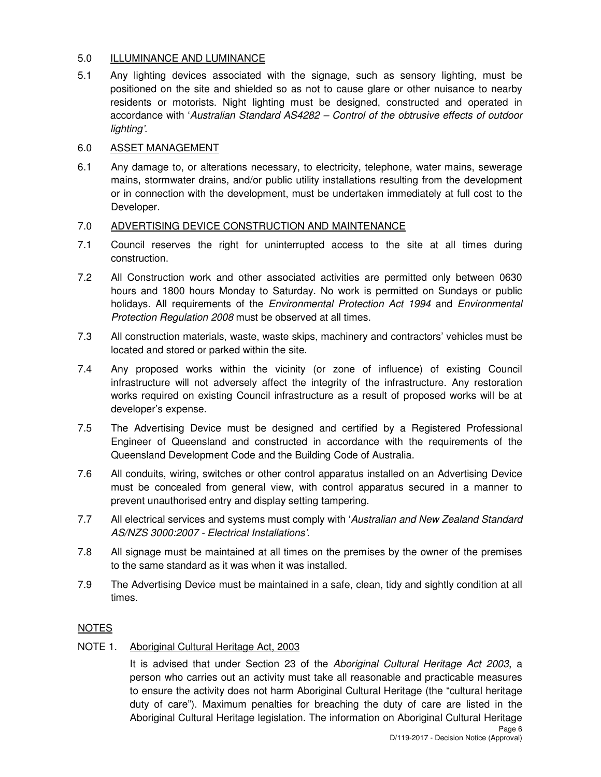# 5.0 ILLUMINANCE AND LUMINANCE

5.1 Any lighting devices associated with the signage, such as sensory lighting, must be positioned on the site and shielded so as not to cause glare or other nuisance to nearby residents or motorists. Night lighting must be designed, constructed and operated in accordance with 'Australian Standard AS4282 – Control of the obtrusive effects of outdoor lighting'.

# 6.0 ASSET MANAGEMENT

6.1 Any damage to, or alterations necessary, to electricity, telephone, water mains, sewerage mains, stormwater drains, and/or public utility installations resulting from the development or in connection with the development, must be undertaken immediately at full cost to the Developer.

# 7.0 ADVERTISING DEVICE CONSTRUCTION AND MAINTENANCE

- 7.1 Council reserves the right for uninterrupted access to the site at all times during construction.
- 7.2 All Construction work and other associated activities are permitted only between 0630 hours and 1800 hours Monday to Saturday. No work is permitted on Sundays or public holidays. All requirements of the *Environmental Protection Act 1994* and *Environmental* Protection Regulation 2008 must be observed at all times.
- 7.3 All construction materials, waste, waste skips, machinery and contractors' vehicles must be located and stored or parked within the site.
- 7.4 Any proposed works within the vicinity (or zone of influence) of existing Council infrastructure will not adversely affect the integrity of the infrastructure. Any restoration works required on existing Council infrastructure as a result of proposed works will be at developer's expense.
- 7.5 The Advertising Device must be designed and certified by a Registered Professional Engineer of Queensland and constructed in accordance with the requirements of the Queensland Development Code and the Building Code of Australia.
- 7.6 All conduits, wiring, switches or other control apparatus installed on an Advertising Device must be concealed from general view, with control apparatus secured in a manner to prevent unauthorised entry and display setting tampering.
- 7.7 All electrical services and systems must comply with 'Australian and New Zealand Standard AS/NZS 3000:2007 - Electrical Installations'.
- 7.8 All signage must be maintained at all times on the premises by the owner of the premises to the same standard as it was when it was installed.
- 7.9 The Advertising Device must be maintained in a safe, clean, tidy and sightly condition at all times.

# NOTES

# NOTE 1. Aboriginal Cultural Heritage Act, 2003

It is advised that under Section 23 of the Aboriginal Cultural Heritage Act 2003, a person who carries out an activity must take all reasonable and practicable measures to ensure the activity does not harm Aboriginal Cultural Heritage (the "cultural heritage duty of care"). Maximum penalties for breaching the duty of care are listed in the Aboriginal Cultural Heritage legislation. The information on Aboriginal Cultural Heritage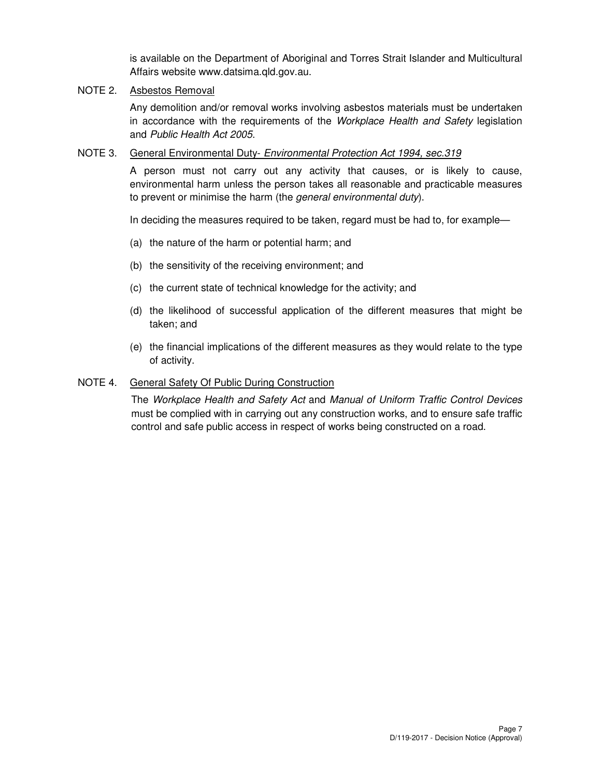is available on the Department of Aboriginal and Torres Strait Islander and Multicultural Affairs website www.datsima.qld.gov.au.

# NOTE 2. Asbestos Removal

Any demolition and/or removal works involving asbestos materials must be undertaken in accordance with the requirements of the Workplace Health and Safety legislation and Public Health Act 2005.

# NOTE 3. General Environmental Duty- Environmental Protection Act 1994, sec.319

A person must not carry out any activity that causes, or is likely to cause, environmental harm unless the person takes all reasonable and practicable measures to prevent or minimise the harm (the general environmental duty).

In deciding the measures required to be taken, regard must be had to, for example—

- (a) the nature of the harm or potential harm; and
- (b) the sensitivity of the receiving environment; and
- (c) the current state of technical knowledge for the activity; and
- (d) the likelihood of successful application of the different measures that might be taken; and
- (e) the financial implications of the different measures as they would relate to the type of activity.

### NOTE 4. General Safety Of Public During Construction

The Workplace Health and Safety Act and Manual of Uniform Traffic Control Devices must be complied with in carrying out any construction works, and to ensure safe traffic control and safe public access in respect of works being constructed on a road.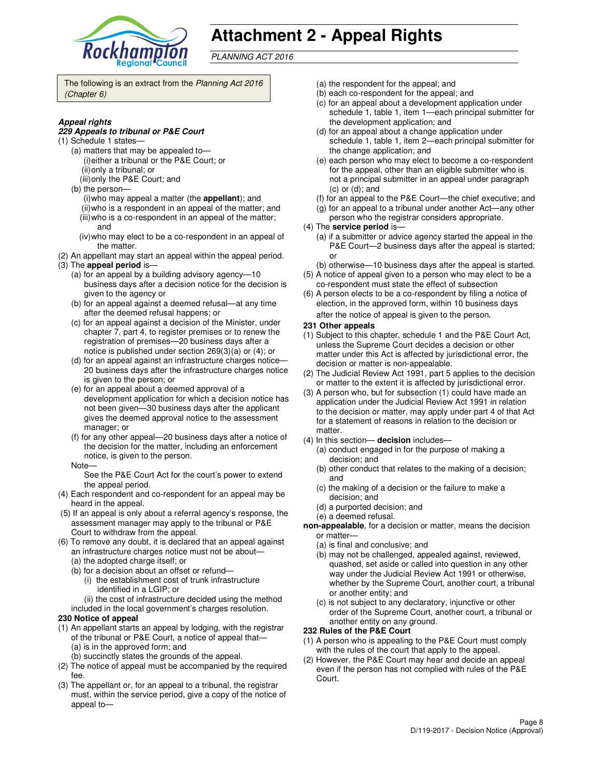

# **Attachment 2 - Appeal Rights**

PLANNING ACT 2016

The following is an extract from the Planning Act 2016 (Chapter 6)

#### **Appeal rights**

#### **229 Appeals to tribunal or P&E Court**

- (1) Schedule 1 states—
	- (a) matters that may be appealed to— (i) either a tribunal or the P&E Court; or (ii) only a tribunal; or
	- (iii) only the P&E Court; and
	- (b) the person—
		- (i) who may appeal a matter (the **appellant**); and (ii) who is a respondent in an appeal of the matter; and (iii) who is a co-respondent in an appeal of the matter;
		- and (iv) who may elect to be a co-respondent in an appeal of
	- the matter.
- (2) An appellant may start an appeal within the appeal period. (3) The **appeal period** is—
	- (a) for an appeal by a building advisory agency—10 business days after a decision notice for the decision is given to the agency or
	- (b) for an appeal against a deemed refusal—at any time after the deemed refusal happens; or
	- (c) for an appeal against a decision of the Minister, under chapter 7, part 4, to register premises or to renew the registration of premises—20 business days after a notice is published under section 269(3)(a) or (4); or
	- (d) for an appeal against an infrastructure charges notice— 20 business days after the infrastructure charges notice is given to the person; or
	- (e) for an appeal about a deemed approval of a development application for which a decision notice has not been given—30 business days after the applicant gives the deemed approval notice to the assessment manager; or
	- (f) for any other appeal—20 business days after a notice of the decision for the matter, including an enforcement notice, is given to the person.
	- Note—

See the P&E Court Act for the court's power to extend the appeal period.

- (4) Each respondent and co-respondent for an appeal may be heard in the appeal.
- (5) If an appeal is only about a referral agency's response, the assessment manager may apply to the tribunal or P&E Court to withdraw from the appeal.
- (6) To remove any doubt, it is declared that an appeal against an infrastructure charges notice must not be about—
	- (a) the adopted charge itself; or
	- (b) for a decision about an offset or refund—
		- (i) the establishment cost of trunk infrastructure identified in a LGIP; or
		- (ii) the cost of infrastructure decided using the method
	- included in the local government's charges resolution.

#### **230 Notice of appeal**

- (1) An appellant starts an appeal by lodging, with the registrar of the tribunal or P&E Court, a notice of appeal that— (a) is in the approved form; and
	- (b) succinctly states the grounds of the appeal.
- (2) The notice of appeal must be accompanied by the required fee.
- (3) The appellant or, for an appeal to a tribunal, the registrar must, within the service period, give a copy of the notice of appeal to—
- (a) the respondent for the appeal; and
- (b) each co-respondent for the appeal; and
- (c) for an appeal about a development application under schedule 1, table 1, item 1—each principal submitter for the development application; and
- (d) for an appeal about a change application under schedule 1, table 1, item 2—each principal submitter for the change application; and
- (e) each person who may elect to become a co-respondent for the appeal, other than an eligible submitter who is not a principal submitter in an appeal under paragraph (c) or (d); and
- (f) for an appeal to the P&E Court—the chief executive; and
- (g) for an appeal to a tribunal under another Act—any other
- person who the registrar considers appropriate.
- (4) The **service period** is—
	- (a) if a submitter or advice agency started the appeal in the P&E Court—2 business days after the appeal is started; or
- (b) otherwise—10 business days after the appeal is started. (5) A notice of appeal given to a person who may elect to be a
- co-respondent must state the effect of subsection (6) A person elects to be a co-respondent by filing a notice of
- election, in the approved form, within 10 business days after the notice of appeal is given to the person*.*
- **231 Other appeals**
- (1) Subject to this chapter, schedule 1 and the P&E Court Act, unless the Supreme Court decides a decision or other matter under this Act is affected by jurisdictional error, the decision or matter is non-appealable.
- (2) The Judicial Review Act 1991, part 5 applies to the decision or matter to the extent it is affected by jurisdictional error.
- (3) A person who, but for subsection (1) could have made an application under the Judicial Review Act 1991 in relation to the decision or matter, may apply under part 4 of that Act for a statement of reasons in relation to the decision or matter.
- (4) In this section— **decision** includes—
	- (a) conduct engaged in for the purpose of making a decision; and
	- (b) other conduct that relates to the making of a decision; and
	- (c) the making of a decision or the failure to make a decision; and
	- (d) a purported decision; and
	- (e) a deemed refusal.
- **non-appealable**, for a decision or matter, means the decision or matter—
	- (a) is final and conclusive; and
	- (b) may not be challenged, appealed against, reviewed, quashed, set aside or called into question in any other way under the Judicial Review Act 1991 or otherwise, whether by the Supreme Court, another court, a tribunal or another entity; and
	- (c) is not subject to any declaratory, injunctive or other order of the Supreme Court, another court, a tribunal or another entity on any ground.

#### **232 Rules of the P&E Court**

- (1) A person who is appealing to the P&E Court must comply with the rules of the court that apply to the appeal.
- (2) However, the P&E Court may hear and decide an appeal even if the person has not complied with rules of the P&E Court.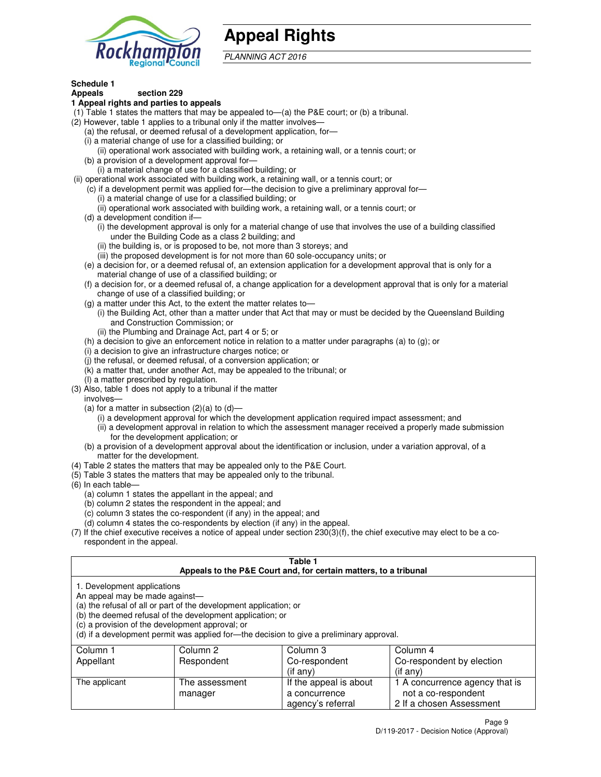

# **Appeal Rights**

PLANNING ACT 2016

#### **Schedule 1 Appeals section 229**

# **1 Appeal rights and parties to appeals**

- (1) Table 1 states the matters that may be appealed to—(a) the P&E court; or (b) a tribunal.
- (2) However, table 1 applies to a tribunal only if the matter involves—
	- (a) the refusal, or deemed refusal of a development application, for—
	- (i) a material change of use for a classified building; or
	- (ii) operational work associated with building work, a retaining wall, or a tennis court; or (b) a provision of a development approval for—
	- (i) a material change of use for a classified building; or
- (ii) operational work associated with building work, a retaining wall, or a tennis court; or
	- (c) if a development permit was applied for—the decision to give a preliminary approval for—
		- (i) a material change of use for a classified building; or
		- (ii) operational work associated with building work, a retaining wall, or a tennis court; or
	- (d) a development condition if—
		- (i) the development approval is only for a material change of use that involves the use of a building classified under the Building Code as a class 2 building; and
		- (ii) the building is, or is proposed to be, not more than 3 storeys; and
		- (iii) the proposed development is for not more than 60 sole-occupancy units; or
	- (e) a decision for, or a deemed refusal of, an extension application for a development approval that is only for a material change of use of a classified building; or
	- (f) a decision for, or a deemed refusal of, a change application for a development approval that is only for a material change of use of a classified building; or
	- (g) a matter under this Act, to the extent the matter relates to—
		- (i) the Building Act, other than a matter under that Act that may or must be decided by the Queensland Building and Construction Commission; or
		- (ii) the Plumbing and Drainage Act, part 4 or 5; or
	- (h) a decision to give an enforcement notice in relation to a matter under paragraphs (a) to (g); or
	- (i) a decision to give an infrastructure charges notice; or
	- (j) the refusal, or deemed refusal, of a conversion application; or
	- (k) a matter that, under another Act, may be appealed to the tribunal; or
	- (l) a matter prescribed by regulation.
- (3) Also, table 1 does not apply to a tribunal if the matter
- involves—
	- (a) for a matter in subsection  $(2)(a)$  to  $(d)$ 
		- (i) a development approval for which the development application required impact assessment; and
		- (ii) a development approval in relation to which the assessment manager received a properly made submission for the development application; or
	- (b) a provision of a development approval about the identification or inclusion, under a variation approval, of a matter for the development.
- (4) Table 2 states the matters that may be appealed only to the P&E Court.
- (5) Table 3 states the matters that may be appealed only to the tribunal.
- (6) In each table—
	- (a) column 1 states the appellant in the appeal; and
	- (b) column 2 states the respondent in the appeal; and
	- (c) column 3 states the co-respondent (if any) in the appeal; and
	- (d) column 4 states the co-respondents by election (if any) in the appeal.
- (7) If the chief executive receives a notice of appeal under section 230(3)(f), the chief executive may elect to be a corespondent in the appeal.

# **Table 1**

| Appeals to the P&E Court and, for certain matters, to a tribunal                                                                                                                                                                                                                                                                               |                           |                                         |                                                       |  |
|------------------------------------------------------------------------------------------------------------------------------------------------------------------------------------------------------------------------------------------------------------------------------------------------------------------------------------------------|---------------------------|-----------------------------------------|-------------------------------------------------------|--|
| 1. Development applications<br>An appeal may be made against—<br>(a) the refusal of all or part of the development application; or<br>(b) the deemed refusal of the development application; or<br>(c) a provision of the development approval; or<br>(d) if a development permit was applied for—the decision to give a preliminary approval. |                           |                                         |                                                       |  |
| Column 1                                                                                                                                                                                                                                                                                                                                       | Column 2                  | Column 3                                | Column 4                                              |  |
| Appellant                                                                                                                                                                                                                                                                                                                                      | Respondent                | Co-respondent                           | Co-respondent by election                             |  |
|                                                                                                                                                                                                                                                                                                                                                |                           | (if any)                                | $($ if any $)$                                        |  |
| The applicant                                                                                                                                                                                                                                                                                                                                  | The assessment<br>manager | If the appeal is about<br>a concurrence | 1 A concurrence agency that is<br>not a co-respondent |  |

agency's referral

2 If a chosen Assessment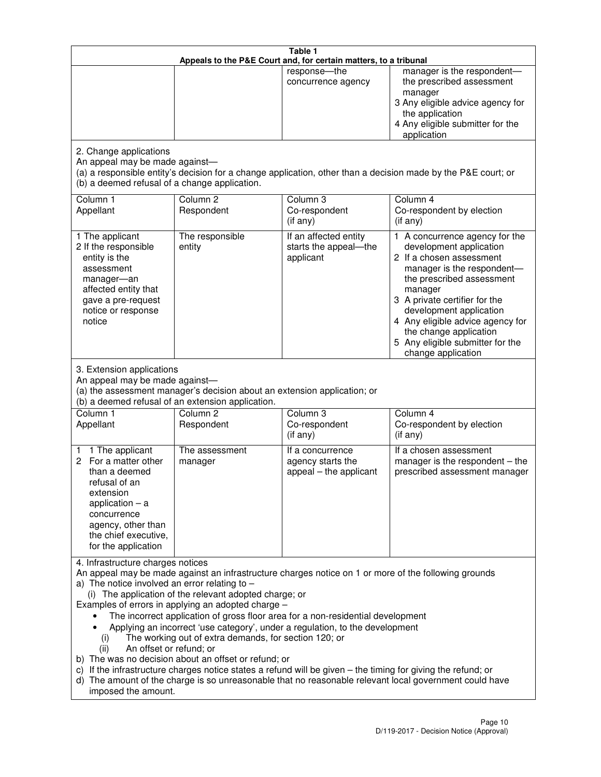| Table 1<br>Appeals to the P&E Court and, for certain matters, to a tribunal                                                                                                                          |                                                                                                                                                                                                                               |                                                                                                                                                                                                                                                                                 |                                                                                                                                                                                                                                                                                                                                                 |  |
|------------------------------------------------------------------------------------------------------------------------------------------------------------------------------------------------------|-------------------------------------------------------------------------------------------------------------------------------------------------------------------------------------------------------------------------------|---------------------------------------------------------------------------------------------------------------------------------------------------------------------------------------------------------------------------------------------------------------------------------|-------------------------------------------------------------------------------------------------------------------------------------------------------------------------------------------------------------------------------------------------------------------------------------------------------------------------------------------------|--|
|                                                                                                                                                                                                      |                                                                                                                                                                                                                               | response-the<br>concurrence agency                                                                                                                                                                                                                                              | manager is the respondent-<br>the prescribed assessment<br>manager<br>3 Any eligible advice agency for<br>the application<br>4 Any eligible submitter for the<br>application                                                                                                                                                                    |  |
| 2. Change applications<br>An appeal may be made against-<br>(b) a deemed refusal of a change application.                                                                                            |                                                                                                                                                                                                                               |                                                                                                                                                                                                                                                                                 | (a) a responsible entity's decision for a change application, other than a decision made by the P&E court; or                                                                                                                                                                                                                                   |  |
| Column 1<br>Appellant                                                                                                                                                                                | Column <sub>2</sub><br>Respondent                                                                                                                                                                                             | Column 3<br>Co-respondent<br>(if any)                                                                                                                                                                                                                                           | Column 4<br>Co-respondent by election<br>(if any)                                                                                                                                                                                                                                                                                               |  |
| 1 The applicant<br>2 If the responsible<br>entity is the<br>assessment<br>manager-an<br>affected entity that<br>gave a pre-request<br>notice or response<br>notice                                   | The responsible<br>entity                                                                                                                                                                                                     | If an affected entity<br>starts the appeal-the<br>applicant                                                                                                                                                                                                                     | 1 A concurrence agency for the<br>development application<br>2 If a chosen assessment<br>manager is the respondent-<br>the prescribed assessment<br>manager<br>3 A private certifier for the<br>development application<br>4 Any eligible advice agency for<br>the change application<br>5 Any eligible submitter for the<br>change application |  |
| 3. Extension applications<br>An appeal may be made against-<br>Column 1<br>Appellant                                                                                                                 | (a) the assessment manager's decision about an extension application; or<br>(b) a deemed refusal of an extension application.<br>Column <sub>2</sub><br>Respondent                                                            | Column 3<br>Co-respondent                                                                                                                                                                                                                                                       | Column 4<br>Co-respondent by election                                                                                                                                                                                                                                                                                                           |  |
| 1 The applicant<br>1<br>2 For a matter other<br>than a deemed<br>refusal of an<br>extension<br>application $-$ a<br>concurrence<br>agency, other than<br>the chief executive,<br>for the application | The assessment<br>manager                                                                                                                                                                                                     | (if any)<br>If a concurrence<br>agency starts the<br>appeal - the applicant                                                                                                                                                                                                     | (if any)<br>If a chosen assessment<br>manager is the respondent $-$ the<br>prescribed assessment manager                                                                                                                                                                                                                                        |  |
| 4. Infrastructure charges notices<br>a) The notice involved an error relating to $-$<br>(i)<br>An offset or refund; or<br>(ii)<br>imposed the amount.                                                | (i) The application of the relevant adopted charge; or<br>Examples of errors in applying an adopted charge -<br>The working out of extra demands, for section 120; or<br>b) The was no decision about an offset or refund; or | The incorrect application of gross floor area for a non-residential development<br>Applying an incorrect 'use category', under a regulation, to the development<br>c) If the infrastructure charges notice states a refund will be given - the timing for giving the refund; or | An appeal may be made against an infrastructure charges notice on 1 or more of the following grounds<br>d) The amount of the charge is so unreasonable that no reasonable relevant local government could have                                                                                                                                  |  |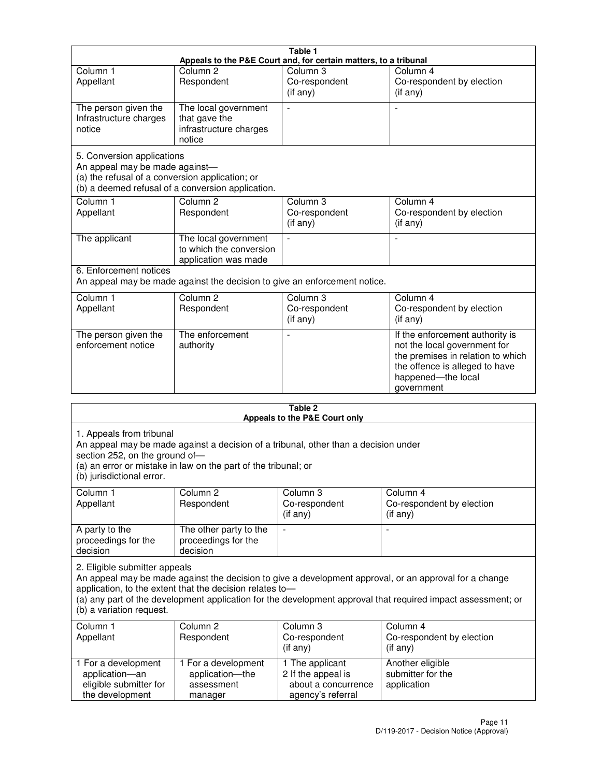|                                                                                                                 |                                                                           | Table 1                                          |                                                                                                                                                                            |  |
|-----------------------------------------------------------------------------------------------------------------|---------------------------------------------------------------------------|--------------------------------------------------|----------------------------------------------------------------------------------------------------------------------------------------------------------------------------|--|
| Appeals to the P&E Court and, for certain matters, to a tribunal                                                |                                                                           |                                                  |                                                                                                                                                                            |  |
| Column <sub>1</sub><br>Appellant                                                                                | Column <sub>2</sub><br>Respondent                                         | Column 3<br>Co-respondent<br>(if any)            | Column 4<br>Co-respondent by election<br>(if any)                                                                                                                          |  |
| The person given the<br>Infrastructure charges<br>notice                                                        | The local government<br>that gave the<br>infrastructure charges<br>notice |                                                  |                                                                                                                                                                            |  |
| 5. Conversion applications<br>An appeal may be made against-<br>(a) the refusal of a conversion application; or | (b) a deemed refusal of a conversion application.                         |                                                  |                                                                                                                                                                            |  |
| Column <sub>1</sub><br>Appellant                                                                                | Column <sub>2</sub><br>Respondent                                         | Column <sub>3</sub><br>Co-respondent<br>(if any) | Column 4<br>Co-respondent by election<br>(if any)                                                                                                                          |  |
| The applicant                                                                                                   | The local government<br>to which the conversion<br>application was made   |                                                  |                                                                                                                                                                            |  |
| 6. Enforcement notices                                                                                          | An appeal may be made against the decision to give an enforcement notice. |                                                  |                                                                                                                                                                            |  |
| Column <sub>1</sub><br>Appellant                                                                                | Column <sub>2</sub><br>Respondent                                         | Column <sub>3</sub><br>Co-respondent<br>(if any) | Column 4<br>Co-respondent by election<br>(if any)                                                                                                                          |  |
| The person given the<br>enforcement notice                                                                      | The enforcement<br>authority                                              |                                                  | If the enforcement authority is<br>not the local government for<br>the premises in relation to which<br>the offence is alleged to have<br>happened-the local<br>government |  |
|                                                                                                                 |                                                                           | 9 Ahla                                           |                                                                                                                                                                            |  |

| Table 2<br>Appeals to the P&E Court only                                                                                                                                                                                                                                                                                                        |                                                                 |                                                                                   |                                                              |  |
|-------------------------------------------------------------------------------------------------------------------------------------------------------------------------------------------------------------------------------------------------------------------------------------------------------------------------------------------------|-----------------------------------------------------------------|-----------------------------------------------------------------------------------|--------------------------------------------------------------|--|
| 1. Appeals from tribunal<br>An appeal may be made against a decision of a tribunal, other than a decision under<br>section 252, on the ground of-<br>(a) an error or mistake in law on the part of the tribunal; or<br>(b) jurisdictional error.                                                                                                |                                                                 |                                                                                   |                                                              |  |
| Column <sub>1</sub><br>Appellant                                                                                                                                                                                                                                                                                                                | Column <sub>2</sub><br>Respondent                               | Column 3<br>Co-respondent<br>(if any)                                             | Column <sub>4</sub><br>Co-respondent by election<br>(if any) |  |
| A party to the<br>proceedings for the<br>decision                                                                                                                                                                                                                                                                                               | The other party to the<br>proceedings for the<br>decision       | $\blacksquare$                                                                    |                                                              |  |
| 2. Eligible submitter appeals<br>An appeal may be made against the decision to give a development approval, or an approval for a change<br>application, to the extent that the decision relates to-<br>(a) any part of the development application for the development approval that required impact assessment; or<br>(b) a variation request. |                                                                 |                                                                                   |                                                              |  |
| Column 1<br>Appellant                                                                                                                                                                                                                                                                                                                           | Column <sub>2</sub><br>Respondent                               | Column <sub>3</sub><br>Co-respondent<br>(i f any)                                 | Column 4<br>Co-respondent by election<br>(i f any)           |  |
| 1 For a development<br>application-an<br>eligible submitter for<br>the development                                                                                                                                                                                                                                                              | 1 For a development<br>application-the<br>assessment<br>manager | 1 The applicant<br>2 If the appeal is<br>about a concurrence<br>agency's referral | Another eligible<br>submitter for the<br>application         |  |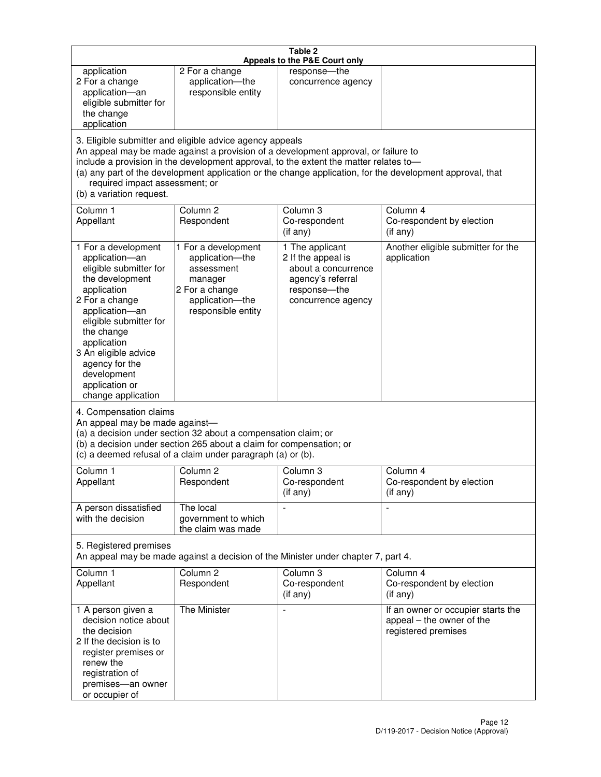| Table 2<br>Appeals to the P&E Court only                                                                                                                                                                                                                                                                                                                                                                           |                                                                                                                            |                                                                                                                         |                                                                                        |
|--------------------------------------------------------------------------------------------------------------------------------------------------------------------------------------------------------------------------------------------------------------------------------------------------------------------------------------------------------------------------------------------------------------------|----------------------------------------------------------------------------------------------------------------------------|-------------------------------------------------------------------------------------------------------------------------|----------------------------------------------------------------------------------------|
| application<br>2 For a change<br>application-an<br>eligible submitter for<br>the change<br>application                                                                                                                                                                                                                                                                                                             | 2 For a change<br>application-the<br>responsible entity                                                                    | response-the<br>concurrence agency                                                                                      |                                                                                        |
| 3. Eligible submitter and eligible advice agency appeals<br>An appeal may be made against a provision of a development approval, or failure to<br>include a provision in the development approval, to the extent the matter relates to-<br>(a) any part of the development application or the change application, for the development approval, that<br>required impact assessment; or<br>(b) a variation request. |                                                                                                                            |                                                                                                                         |                                                                                        |
| Column 1<br>Appellant                                                                                                                                                                                                                                                                                                                                                                                              | Column <sub>2</sub><br>Respondent                                                                                          | Column <sub>3</sub><br>Co-respondent<br>(if any)                                                                        | Column 4<br>Co-respondent by election<br>(i f any)                                     |
| 1 For a development<br>application-an<br>eligible submitter for<br>the development<br>application<br>2 For a change<br>application-an<br>eligible submitter for<br>the change<br>application<br>3 An eligible advice<br>agency for the<br>development<br>application or<br>change application                                                                                                                      | 1 For a development<br>application-the<br>assessment<br>manager<br>2 For a change<br>application-the<br>responsible entity | 1 The applicant<br>2 If the appeal is<br>about a concurrence<br>agency's referral<br>response-the<br>concurrence agency | Another eligible submitter for the<br>application                                      |
| 4. Compensation claims<br>An appeal may be made against-<br>(a) a decision under section 32 about a compensation claim; or<br>(b) a decision under section 265 about a claim for compensation; or<br>(c) a deemed refusal of a claim under paragraph (a) or (b).                                                                                                                                                   |                                                                                                                            |                                                                                                                         |                                                                                        |
| Column 1<br>Appellant                                                                                                                                                                                                                                                                                                                                                                                              | Column 2<br>Respondent                                                                                                     | Column 3<br>Co-respondent<br>(if any)                                                                                   | Column 4<br>Co-respondent by election<br>(if any)                                      |
| A person dissatisfied<br>with the decision                                                                                                                                                                                                                                                                                                                                                                         | The local<br>government to which<br>the claim was made                                                                     |                                                                                                                         | $\blacksquare$                                                                         |
| 5. Registered premises<br>An appeal may be made against a decision of the Minister under chapter 7, part 4.                                                                                                                                                                                                                                                                                                        |                                                                                                                            |                                                                                                                         |                                                                                        |
| Column 1<br>Appellant                                                                                                                                                                                                                                                                                                                                                                                              | Column <sub>2</sub><br>Respondent                                                                                          | Column 3<br>Co-respondent<br>(if any)                                                                                   | Column 4<br>Co-respondent by election<br>(if any)                                      |
| 1 A person given a<br>decision notice about<br>the decision<br>2 If the decision is to<br>register premises or<br>renew the<br>registration of<br>premises-an owner<br>or occupier of                                                                                                                                                                                                                              | The Minister                                                                                                               | $\overline{a}$                                                                                                          | If an owner or occupier starts the<br>appeal - the owner of the<br>registered premises |